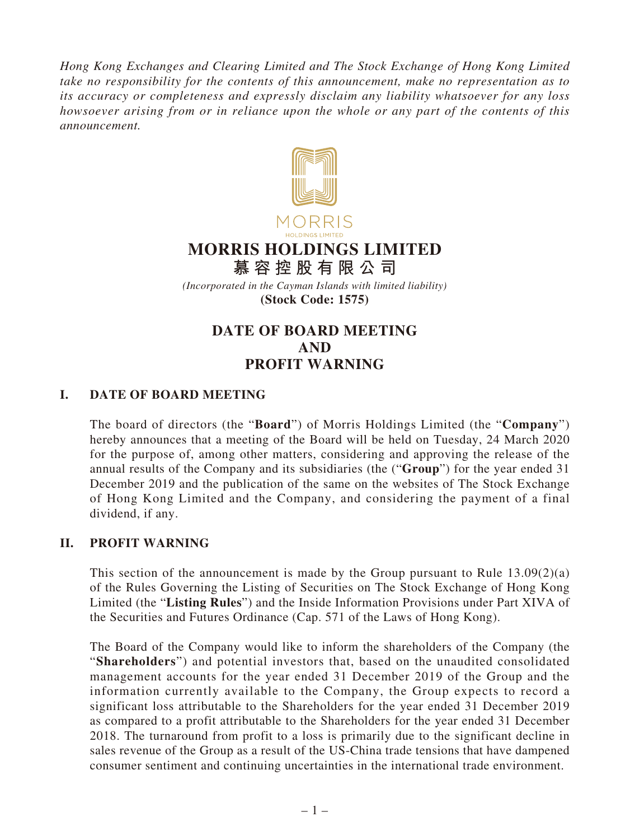*Hong Kong Exchanges and Clearing Limited and The Stock Exchange of Hong Kong Limited take no responsibility for the contents of this announcement, make no representation as to its accuracy or completeness and expressly disclaim any liability whatsoever for any loss howsoever arising from or in reliance upon the whole or any part of the contents of this announcement.*



## **MORRIS HOLDINGS LIMITED**

**慕容控股有限公司** *(Incorporated in the Cayman Islands with limited liability)*

**(Stock Code: 1575)**

## **DATE OF BOARD MEETING AND PROFIT WARNING**

## **I. DATE OF BOARD MEETING**

The board of directors (the "**Board**") of Morris Holdings Limited (the "**Company**") hereby announces that a meeting of the Board will be held on Tuesday, 24 March 2020 for the purpose of, among other matters, considering and approving the release of the annual results of the Company and its subsidiaries (the ("**Group**") for the year ended 31 December 2019 and the publication of the same on the websites of The Stock Exchange of Hong Kong Limited and the Company, and considering the payment of a final dividend, if any.

## **II. PROFIT WARNING**

This section of the announcement is made by the Group pursuant to Rule  $13.09(2)(a)$ of the Rules Governing the Listing of Securities on The Stock Exchange of Hong Kong Limited (the "**Listing Rules**") and the Inside Information Provisions under Part XIVA of the Securities and Futures Ordinance (Cap. 571 of the Laws of Hong Kong).

The Board of the Company would like to inform the shareholders of the Company (the "**Shareholders**") and potential investors that, based on the unaudited consolidated management accounts for the year ended 31 December 2019 of the Group and the information currently available to the Company, the Group expects to record a significant loss attributable to the Shareholders for the year ended 31 December 2019 as compared to a profit attributable to the Shareholders for the year ended 31 December 2018. The turnaround from profit to a loss is primarily due to the significant decline in sales revenue of the Group as a result of the US-China trade tensions that have dampened consumer sentiment and continuing uncertainties in the international trade environment.